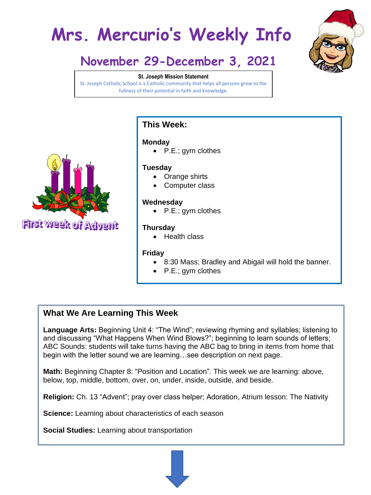# **Mrs. Mercurio's Weekly Info**



# **November 29-December 3, 2021**

#### **St. Joseph Mission Statement**

St. Joseph Catholic School is a Catholic community that helps all persons grow to the fullness of their potential in faith and knowledge.



**First week of Advent** 

## **This Week:**

#### **Monday**

• P.E.; gym clothes

#### **Tuesday**

- Orange shirts
- Computer class

#### **Wednesday**

• P.E.; gym clothes

#### **Thursday**

• Health class

#### **Friday**

- 8:30 Mass; Bradley and Abigail will hold the banner.
- P.E.; gym clothes

# **What We Are Learning This Week**

**Language Arts:** Beginning Unit 4: "The Wind"; reviewing rhyming and syllables; listening to and discussing "What Happens When Wind Blows?"; beginning to learn sounds of letters; ABC Sounds: students will take turns having the ABC bag to bring in items from home that begin with the letter sound we are learning…see description on next page.

**Math:** Beginning Chapter 8: "Position and Location". This week we are learning: above, below, top, middle, bottom, over, on, under, inside, outside, and beside.

**Religion:** Ch. 13 "Advent"; pray over class helper; Adoration, Atrium lesson: The Nativity

**Science:** Learning about characteristics of each season

**Social Studies:** Learning about transportation